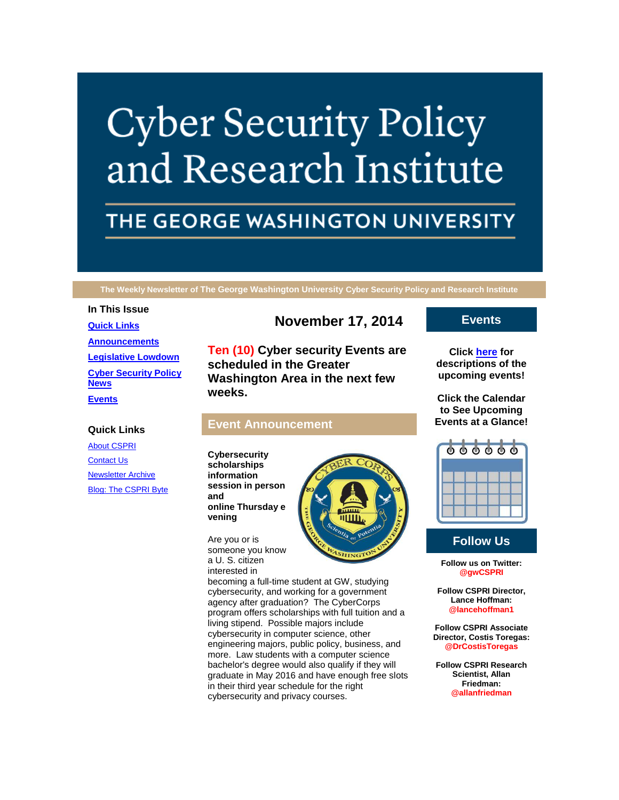# **Cyber Security Policy** and Research Institute

# THE GEORGE WASHINGTON UNIVERSITY

**The Weekly Newsletter of The George Washington University Cyber Security Policy and Research Institute**

#### **In This Issue**

**[Quick Links](https://mail.google.com/mail/u/0/#149bf73500563553_LETTER.BLOCK5) [Announcements](https://mail.google.com/mail/u/0/#149bf73500563553_LETTER.BLOCK26) [Legislative Lowdown](https://mail.google.com/mail/u/0/#149bf73500563553_LETTER.BLOCK53) [Cyber Security Policy](https://mail.google.com/mail/u/0/#149bf73500563553_LETTER.BLOCK73)  [News](https://mail.google.com/mail/u/0/#149bf73500563553_LETTER.BLOCK73) [Events](https://mail.google.com/mail/u/0/#149bf73500563553_LETTER.BLOCK30)**

## **Quick Links**

[About CSPRI](http://r20.rs6.net/tn.jsp?f=001Unhl8PT3gXTe7H52XPnJesNDcABMWswmy5pjLTViZyoPUa5FbGsER3WUWVk3ahJAFgb0FM3ZXtmXDhoNxQ4k7I-jtwgDvQhtXWjDd8bNa6eccPx8-DinnfscY_0x1RtPNeq-Q-DurcABnHOBD2Y5XNNdtl4rkiBvExKvCR0QQrnYNfQHMx7byIgvvG2BwMKx&c=QZCYsv8W07HoomyAge-otc6Na6ZrfKsgm0HqLFI4KhV_txf9UnKQLA==&ch=zehXrrbPr3nZAREKk7OKIZOyAGQV0ELKB0xdlGCI3uHtma9J3GL0qQ==) **[Contact Us](http://r20.rs6.net/tn.jsp?f=001Unhl8PT3gXTe7H52XPnJesNDcABMWswmy5pjLTViZyoPUa5FbGsER3WUWVk3ahJA-hT2lg_ROlu8ZrUhwzLecd7rl_bbQofMqF-ey39BxRehNWKm_PRTbukDbSRmEiZc9LOM0aBE8Ad6tQmcZ2g3an7KlnNz0C5oukDTFUABJPONB-R_yFTryXBOTcKtSFM5rDMBlwhvkcw=&c=QZCYsv8W07HoomyAge-otc6Na6ZrfKsgm0HqLFI4KhV_txf9UnKQLA==&ch=zehXrrbPr3nZAREKk7OKIZOyAGQV0ELKB0xdlGCI3uHtma9J3GL0qQ==)** [Newsletter Archive](http://r20.rs6.net/tn.jsp?f=001Unhl8PT3gXTe7H52XPnJesNDcABMWswmy5pjLTViZyoPUa5FbGsER3WUWVk3ahJAq49DK2DWWtqkw4UwtJYMob8ayhG4MXv8voy2KYpHOJNzdWrQkoQpAZvbQuAb6Nhr2dbkRNbBT9EKcARtDUtJUvQCvcpJ8TYzWarcxNZaA1tx2TaDUZw1ApgVRN1QKVUC9y5BuV1TzzE=&c=QZCYsv8W07HoomyAge-otc6Na6ZrfKsgm0HqLFI4KhV_txf9UnKQLA==&ch=zehXrrbPr3nZAREKk7OKIZOyAGQV0ELKB0xdlGCI3uHtma9J3GL0qQ==) **[Blog: The CSPRI Byte](http://r20.rs6.net/tn.jsp?f=001Unhl8PT3gXTe7H52XPnJesNDcABMWswmy5pjLTViZyoPUa5FbGsER3WUWVk3ahJA3Yi7vubwWT5gZoNRXU3-t4_5DGx3nPSz7cgwBMnSo9PaNc7HeKVRSIoT9jqIFDiFl6aBBy-akIbkYbs8lZ_hhaNHApj9UGn1JFMXdlLJAfg7bEhsfR1NGACY9qTgd_u2&c=QZCYsv8W07HoomyAge-otc6Na6ZrfKsgm0HqLFI4KhV_txf9UnKQLA==&ch=zehXrrbPr3nZAREKk7OKIZOyAGQV0ELKB0xdlGCI3uHtma9J3GL0qQ==)** 

# **November 17, 2014**

**Ten (10) Cyber security Events are scheduled in the Greater Washington Area in the next few weeks.**

# **Event Announcement**

**Cybersecurity scholarships information session in person and online Thursday e vening**

Are you or is someone you know a U. S. citizen interested in



becoming a full-time student at GW, studying cybersecurity, and working for a government agency after graduation? The CyberCorps program offers scholarships with full tuition and a living stipend. Possible majors include cybersecurity in computer science, other engineering majors, public policy, business, and more. Law students with a computer science bachelor's degree would also qualify if they will graduate in May 2016 and have enough free slots in their third year schedule for the right cybersecurity and privacy courses.

# **Events**

**Click [here](http://r20.rs6.net/tn.jsp?f=001Unhl8PT3gXTe7H52XPnJesNDcABMWswmy5pjLTViZyoPUa5FbGsER3WUWVk3ahJASkf1RdBD-34D2fJHQgfNyEBRWOF6yFB97sbVgbt_VQSfPPNVFg66TB3ZnLhiiRGrg4ZFTBNXdNzlXiBaqd5I8KiY-xQj8ptMVb__fDWEXBtYC8zPK8TgmIJt1EFK948TPLIhCpCz6Yj4kSC4-PgUGg==&c=QZCYsv8W07HoomyAge-otc6Na6ZrfKsgm0HqLFI4KhV_txf9UnKQLA==&ch=zehXrrbPr3nZAREKk7OKIZOyAGQV0ELKB0xdlGCI3uHtma9J3GL0qQ==) for descriptions of the upcoming events!**

**Click the Calendar to See Upcoming Events at a Glance!**



# **Follow Us**

**Follow us on Twitter: @gwCSPRI**

**Follow CSPRI Director, Lance Hoffman: @lancehoffman1**

**Follow CSPRI Associate Director, Costis Toregas: @DrCostisToregas**

**Follow CSPRI Research Scientist, Allan Friedman: @allanfriedman**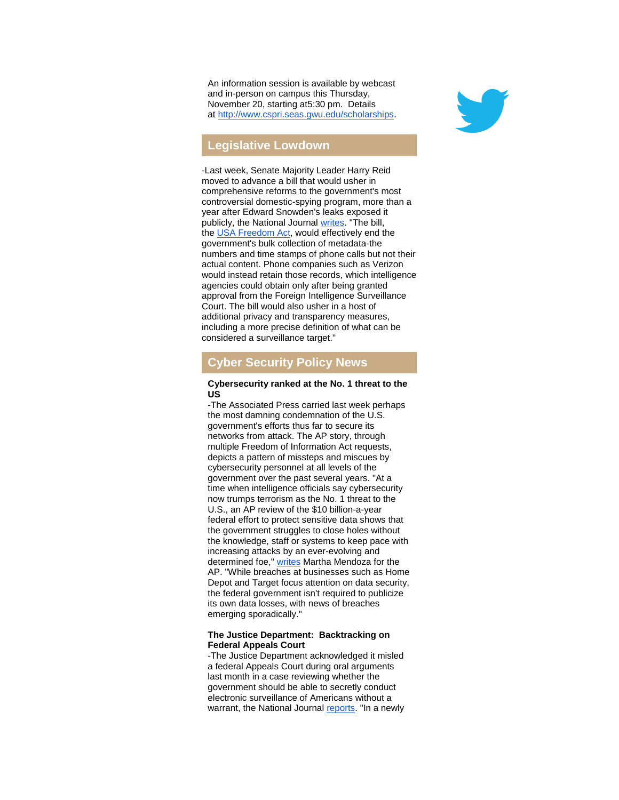An information session is available by webcast and in-person on campus this Thursday, November 20, starting at5:30 pm. Details at [http://www.cspri.seas.gwu.edu/scholarships.](http://r20.rs6.net/tn.jsp?f=001Unhl8PT3gXTe7H52XPnJesNDcABMWswmy5pjLTViZyoPUa5FbGsER3BKdRTXQ--IefyqGuZib8hqqCpOFa4MA_J80rAljFGvQzeiIIYZbnIHXEL9c4iKbG8lk36482nmgTx-adZStq7T-wTLQ0WgcNnKvFRydQYAa86VdX0BNk3iFVoJ5eny8_ojP-bTTxNwGrweJ6HhW-Y=&c=QZCYsv8W07HoomyAge-otc6Na6ZrfKsgm0HqLFI4KhV_txf9UnKQLA==&ch=zehXrrbPr3nZAREKk7OKIZOyAGQV0ELKB0xdlGCI3uHtma9J3GL0qQ==)

# **Legislative Lowdown**

-Last week, Senate Majority Leader Harry Reid moved to advance a bill that would usher in comprehensive reforms to the government's most controversial domestic-spying program, more than a year after Edward Snowden's leaks exposed it publicly, the National Journal [writes.](http://r20.rs6.net/tn.jsp?f=001Unhl8PT3gXTe7H52XPnJesNDcABMWswmy5pjLTViZyoPUa5FbGsER3BKdRTXQ--IWBUaDXqkcpAU-wp5Q9lyPHMttP3dyjHyed4J2uBD-Id2YeEUo5FNLXpjT-3emX4W71ZZc2Li7pBd4uzLA38Hi79iRXpkQzr5jZFvKEubRFWEgBC_3wg9VgfMpy_bzfVlBBvkKu1jk46uq60x0g4ummMSaLNwwEiwUN6m_1zpSbdNzE5QyvNROWsj2uoEt4Y7vLyoGODQA4w=&c=QZCYsv8W07HoomyAge-otc6Na6ZrfKsgm0HqLFI4KhV_txf9UnKQLA==&ch=zehXrrbPr3nZAREKk7OKIZOyAGQV0ELKB0xdlGCI3uHtma9J3GL0qQ==) "The bill, the [USA Freedom Act,](http://r20.rs6.net/tn.jsp?f=001Unhl8PT3gXTe7H52XPnJesNDcABMWswmy5pjLTViZyoPUa5FbGsER3BKdRTXQ--IBZEHLl81DDVUATlrwUfm1JeIrvALZYyyP1mbmZJ-cqvr5NY5xaCYIQ-IQyD2iJJIbO2PqQYFhahej6JirVdM007jyLztc_3ZsYlqJIwnjqU_SbssouE8pWA04nY1sccpYQvCBvZsDHqTpakz5icb79LiYvyxZT2x1rVa6mWJHjQ=&c=QZCYsv8W07HoomyAge-otc6Na6ZrfKsgm0HqLFI4KhV_txf9UnKQLA==&ch=zehXrrbPr3nZAREKk7OKIZOyAGQV0ELKB0xdlGCI3uHtma9J3GL0qQ==) would effectively end the government's bulk collection of metadata-the numbers and time stamps of phone calls but not their actual content. Phone companies such as Verizon would instead retain those records, which intelligence agencies could obtain only after being granted approval from the Foreign Intelligence Surveillance Court. The bill would also usher in a host of additional privacy and transparency measures, including a more precise definition of what can be considered a surveillance target."

# **Cyber Security Policy News**

#### **Cybersecurity ranked at the No. 1 threat to the US**

-The Associated Press carried last week perhaps the most damning condemnation of the U.S. government's efforts thus far to secure its networks from attack. The AP story, through multiple Freedom of Information Act requests, depicts a pattern of missteps and miscues by cybersecurity personnel at all levels of the government over the past several years. "At a time when intelligence officials say cybersecurity now trumps terrorism as the No. 1 threat to the U.S., an AP review of the \$10 billion-a-year federal effort to protect sensitive data shows that the government struggles to close holes without the knowledge, staff or systems to keep pace with increasing attacks by an ever-evolving and determined foe," [writes](http://r20.rs6.net/tn.jsp?f=001Unhl8PT3gXTe7H52XPnJesNDcABMWswmy5pjLTViZyoPUa5FbGsER3BKdRTXQ--Io-_y0Zhx-_5FwIUr20KGPrBSguO5an9tVNr88NUFqy-ZN58-WtmlIdvJ-JWNZIovTndBqZXDNVStF2z6uu9OVwmOFj4BLBkoq7Su8qwhYQukXfZou0aZB1KivcCGL-NmfsSg0ml9rP-GHAhg3GY6aUYXeYKNOw3-7xY_P154Mgpdtdht14ofx6uO9n7owVK8Q--yyIr7e-nfrEAg6yTmI-_PwXyUsq7ZzIZ0jQ8B3Pk=&c=QZCYsv8W07HoomyAge-otc6Na6ZrfKsgm0HqLFI4KhV_txf9UnKQLA==&ch=zehXrrbPr3nZAREKk7OKIZOyAGQV0ELKB0xdlGCI3uHtma9J3GL0qQ==) Martha Mendoza for the AP. "While breaches at businesses such as Home Depot and Target focus attention on data security, the federal government isn't required to publicize its own data losses, with news of breaches emerging sporadically."

#### **The Justice Department: Backtracking on Federal Appeals Court**

-The Justice Department acknowledged it misled a federal Appeals Court during oral arguments last month in a case reviewing whether the government should be able to secretly conduct electronic surveillance of Americans without a warrant, the National Journal [reports.](http://r20.rs6.net/tn.jsp?f=001Unhl8PT3gXTe7H52XPnJesNDcABMWswmy5pjLTViZyoPUa5FbGsER3BKdRTXQ--IH2zq9q-rgpHzm0uF1Aa0wndRFBaV8hYLAORgFpENlZj_8z3gxguahNEKElSfriic4HugD99FYdePtDioOeS7VlvzWtFLlWeNboP5yHF3Obe9LtFVmGJoUZ0kZQGp3UVHUMY29_iGR5-26__KTFNOZ6feAZm-5KJxqCOy0a9jUkSGDycJjBlPN0N-s0IxZ2q_ccDvZfRSTCa8Z5_H3f07cHHpctitkMqFcoCLAGS9uvhfwMwR4BP66g==&c=QZCYsv8W07HoomyAge-otc6Na6ZrfKsgm0HqLFI4KhV_txf9UnKQLA==&ch=zehXrrbPr3nZAREKk7OKIZOyAGQV0ELKB0xdlGCI3uHtma9J3GL0qQ==) "In a newly

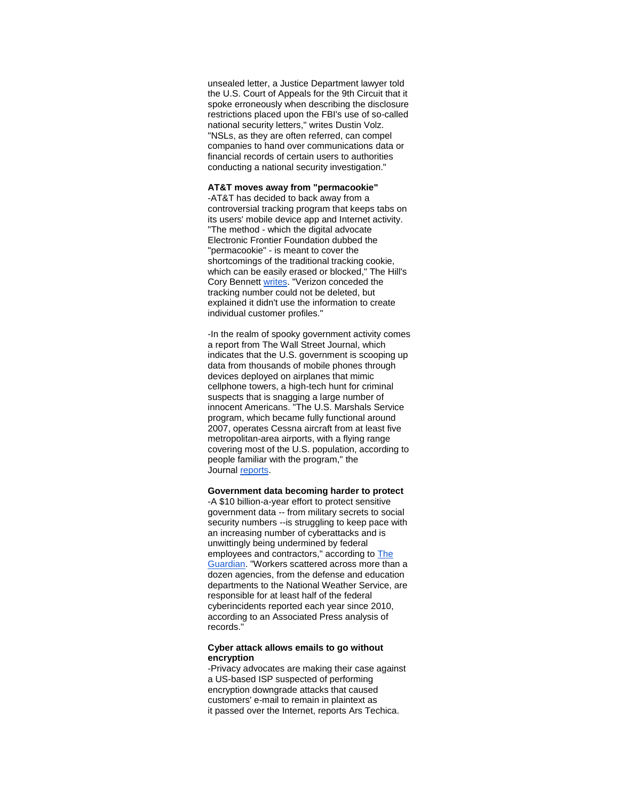unsealed [letter,](http://r20.rs6.net/tn.jsp?f=001Unhl8PT3gXTe7H52XPnJesNDcABMWswmy5pjLTViZyoPUa5FbGsER3BKdRTXQ--I15oztCfLbLGvyMk0H9c9kf0AUQR4-27vrNKHlFhJiExMhMa-siPQFybmGe9dJdqIYgzRXhHlQnV73-75TZXJsBpYmYvq2GyCuQFC9d8pyPrSaurmADo9lxJRJ___wmH6JGmQuTVTdXfH9d5TcAOC1Jxni9lvML8VUNhkBY50vHoFxnx1NV_FMg==&c=QZCYsv8W07HoomyAge-otc6Na6ZrfKsgm0HqLFI4KhV_txf9UnKQLA==&ch=zehXrrbPr3nZAREKk7OKIZOyAGQV0ELKB0xdlGCI3uHtma9J3GL0qQ==) a Justice Department lawyer told the U.S. Court of Appeals for the 9th Circuit that it spoke erroneously when describing the disclosure restrictions placed upon the FBI's use of so-called national security letters," [writes](http://r20.rs6.net/tn.jsp?f=001Unhl8PT3gXTe7H52XPnJesNDcABMWswmy5pjLTViZyoPUa5FbGsER3BKdRTXQ--IH2zq9q-rgpHzm0uF1Aa0wndRFBaV8hYLAORgFpENlZj_8z3gxguahNEKElSfriic4HugD99FYdePtDioOeS7VlvzWtFLlWeNboP5yHF3Obe9LtFVmGJoUZ0kZQGp3UVHUMY29_iGR5-26__KTFNOZ6feAZm-5KJxqCOy0a9jUkSGDycJjBlPN0N-s0IxZ2q_ccDvZfRSTCa8Z5_H3f07cHHpctitkMqFcoCLAGS9uvhfwMwR4BP66g==&c=QZCYsv8W07HoomyAge-otc6Na6ZrfKsgm0HqLFI4KhV_txf9UnKQLA==&ch=zehXrrbPr3nZAREKk7OKIZOyAGQV0ELKB0xdlGCI3uHtma9J3GL0qQ==) Dustin Volz. "NSLs, as they are often referred, can compel companies to hand over communications data or financial records of certain users to authorities conducting a national security investigation."

### **AT&T moves away from "permacookie"**

-AT&T has decided to back away from a controversial tracking program that keeps tabs on its users' mobile device app and Internet activity. "The method - which the digital advocate Electronic Frontier Foundation dubbed the "permacookie" - is meant to cover the shortcomings of the traditional tracking cookie, which can be easily erased or blocked," The Hill's Cory Bennett [writes.](http://r20.rs6.net/tn.jsp?f=001Unhl8PT3gXTe7H52XPnJesNDcABMWswmy5pjLTViZyoPUa5FbGsER3BKdRTXQ--IOtntB6khbSbx1TkImGE23m-U2bQXwSoosoteE4nS_-S2KZwbA0okg70q_Yq4jxN8_-1pyYMqAF0_HqbLKxvjk5NaI6lkijpC-E6p9Yt9ZBYLrx8pBGMmF136xpDtc3buM24wmFkq9NU0Woq5mMcw7hHRrdZcLjXrrfk7-zXbaDcFbG4F45cX-JFkSdSnnbW0gd1twvrNMGE=&c=QZCYsv8W07HoomyAge-otc6Na6ZrfKsgm0HqLFI4KhV_txf9UnKQLA==&ch=zehXrrbPr3nZAREKk7OKIZOyAGQV0ELKB0xdlGCI3uHtma9J3GL0qQ==) "Verizon conceded the tracking number could not be deleted, but explained it didn't use the information to create individual customer profiles."

-In the realm of spooky government activity comes a report from The Wall Street Journal, which indicates that the U.S. government is scooping up data from thousands of mobile phones through devices deployed on airplanes that mimic cellphone towers, a high-tech hunt for criminal suspects that is snagging a large number of innocent Americans. "The U.S. Marshals Service program, which became fully functional around 2007, operates Cessna aircraft from at least five metropolitan-area airports, with a flying range covering most of the U.S. population, according to people familiar with the program," the Journal [reports.](http://r20.rs6.net/tn.jsp?f=001Unhl8PT3gXTe7H52XPnJesNDcABMWswmy5pjLTViZyoPUa5FbGsER3BKdRTXQ--ILvQL0JUKXtDqLLb1-VRiLiHXX7UeencQQBLecdPFofOlObToppWBgTBzk86Vv4kEPqQzvX8Gbj88z_u9VfnJVuM1hNluGGCPSdpjuIvuGl-48geyDPM-9vCJMBv61o9627P5Guj441c0sFGAiJ_-4Wcp46IGsjuer0XXorVA9RMA6aom4Zuh1kg7mXAJf7e2UeW8CNr9gczF5_QGQCiOrg==&c=QZCYsv8W07HoomyAge-otc6Na6ZrfKsgm0HqLFI4KhV_txf9UnKQLA==&ch=zehXrrbPr3nZAREKk7OKIZOyAGQV0ELKB0xdlGCI3uHtma9J3GL0qQ==)

#### **Government data becoming harder to protect**

-A \$10 billion-a-year effort to protect sensitive government data -- from military secrets to social security numbers --is struggling to keep pace with an increasing number of cyberattacks and is unwittingly being undermined by federal employees and contractors," according to The [Guardian.](http://r20.rs6.net/tn.jsp?f=001Unhl8PT3gXTe7H52XPnJesNDcABMWswmy5pjLTViZyoPUa5FbGsER3BKdRTXQ--IK5pMJjq32MIAaKEr59hYlpDTHHqAAqoDC-fRSBWkNDdvqJcMhEYKuyTWvjRvPJZVAlRjqKEM8kXWuBdzAwmbPeRrXd47LS6IfHrNs4vx9-bUwTiWQS_U2L3_2KlMe1bh1nSEjaWEZ_XnwSHi3h6L1EIN4HH_ylJ0xnvdGn7xzM_AwHyf_4WHPVI2sOw7CkD_dZBirqbGpOUDmXRxvZQfyA==&c=QZCYsv8W07HoomyAge-otc6Na6ZrfKsgm0HqLFI4KhV_txf9UnKQLA==&ch=zehXrrbPr3nZAREKk7OKIZOyAGQV0ELKB0xdlGCI3uHtma9J3GL0qQ==) "Workers scattered across more than a dozen agencies, from the defense and education departments to the National Weather Service, are responsible for at least half of the federal cyberincidents reported each year since 2010, according to an Associated Press analysis of records."

#### **Cyber attack allows emails to go without encryption**

-Privacy advocates are making their case against a US-based ISP suspected of performing encryption downgrade attacks that caused customers' e-mail to remain in plaintext as it passed over the Internet, reports Ars Techica.